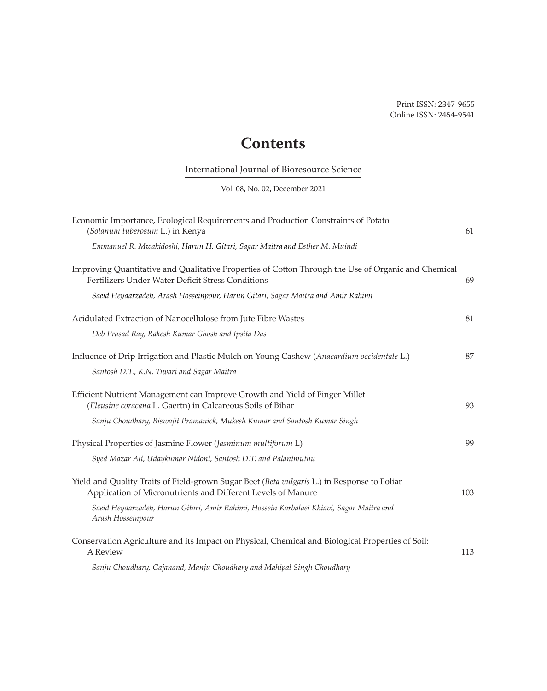## **Contents**

## International Journal of Bioresource Science

Vol. 08, No. 02, December 2021

| Economic Importance, Ecological Requirements and Production Constraints of Potato<br>(Solanum tuberosum L.) in Kenya                                        | 61  |
|-------------------------------------------------------------------------------------------------------------------------------------------------------------|-----|
| Emmanuel R. Mwakidoshi, Harun H. Gitari, Sagar Maitra and Esther M. Muindi                                                                                  |     |
| Improving Quantitative and Qualitative Properties of Cotton Through the Use of Organic and Chemical<br>Fertilizers Under Water Deficit Stress Conditions    | 69  |
| Saeid Heydarzadeh, Arash Hosseinpour, Harun Gitari, Sagar Maitra and Amir Rahimi                                                                            |     |
| Acidulated Extraction of Nanocellulose from Jute Fibre Wastes                                                                                               | 81  |
| Deb Prasad Ray, Rakesh Kumar Ghosh and Ipsita Das                                                                                                           |     |
| Influence of Drip Irrigation and Plastic Mulch on Young Cashew (Anacardium occidentale L.)<br>Santosh D.T., K.N. Tiwari and Sagar Maitra                    | 87  |
| Efficient Nutrient Management can Improve Growth and Yield of Finger Millet<br>(Eleusine coracana L. Gaertn) in Calcareous Soils of Bihar                   | 93  |
| Sanju Choudhary, Biswajit Pramanick, Mukesh Kumar and Santosh Kumar Singh                                                                                   |     |
| Physical Properties of Jasmine Flower (Jasminum multiforum L)                                                                                               | 99  |
| Syed Mazar Ali, Udaykumar Nidoni, Santosh D.T. and Palanimuthu                                                                                              |     |
| Yield and Quality Traits of Field-grown Sugar Beet (Beta vulgaris L.) in Response to Foliar<br>Application of Micronutrients and Different Levels of Manure | 103 |
| Saeid Heydarzadeh, Harun Gitari, Amir Rahimi, Hossein Karbalaei Khiavi, Sagar Maitra and<br>Arash Hosseinpour                                               |     |
| Conservation Agriculture and its Impact on Physical, Chemical and Biological Properties of Soil:<br>A Review                                                | 113 |
| Sanju Choudhary, Gajanand, Manju Choudhary and Mahipal Singh Choudhary                                                                                      |     |